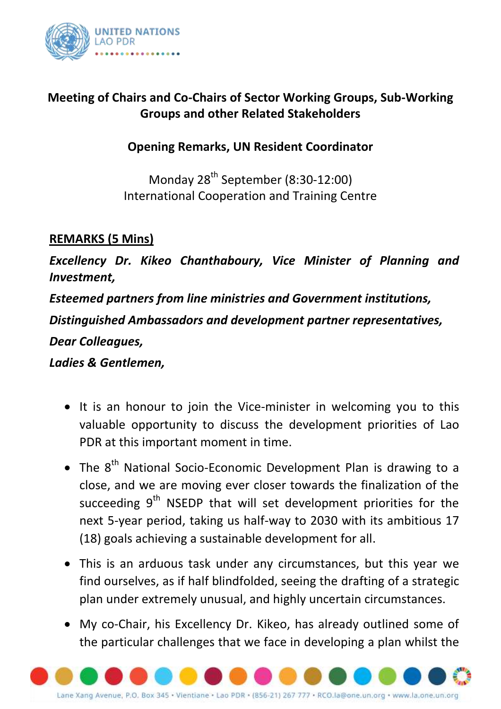

## **Meeting of Chairs and Co-Chairs of Sector Working Groups, Sub-Working Groups and other Related Stakeholders**

## **Opening Remarks, UN Resident Coordinator**

Monday  $28^{th}$  September (8:30-12:00) International Cooperation and Training Centre

## **REMARKS (5 Mins)**

*Excellency Dr. Kikeo Chanthaboury, Vice Minister of Planning and Investment,*

*Esteemed partners from line ministries and Government institutions, Distinguished Ambassadors and development partner representatives, Dear Colleagues, Ladies & Gentlemen,*

- It is an honour to join the Vice-minister in welcoming you to this valuable opportunity to discuss the development priorities of Lao PDR at this important moment in time.
- The  $8<sup>th</sup>$  National Socio-Economic Development Plan is drawing to a close, and we are moving ever closer towards the finalization of the succeeding 9<sup>th</sup> NSEDP that will set development priorities for the next 5-year period, taking us half-way to 2030 with its ambitious 17 (18) goals achieving a sustainable development for all.
- This is an arduous task under any circumstances, but this year we find ourselves, as if half blindfolded, seeing the drafting of a strategic plan under extremely unusual, and highly uncertain circumstances.
- My co-Chair, his Excellency Dr. Kikeo, has already outlined some of the particular challenges that we face in developing a plan whilst the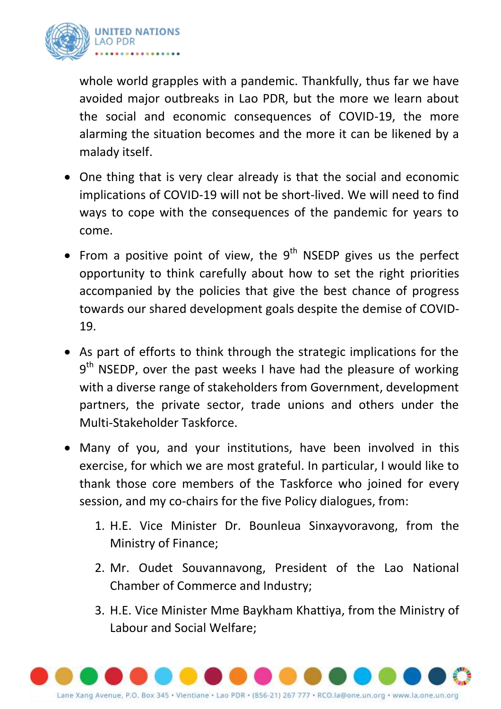

whole world grapples with a pandemic. Thankfully, thus far we have avoided major outbreaks in Lao PDR, but the more we learn about the social and economic consequences of COVID-19, the more alarming the situation becomes and the more it can be likened by a malady itself.

- One thing that is very clear already is that the social and economic implications of COVID-19 will not be short-lived. We will need to find ways to cope with the consequences of the pandemic for years to come.
- From a positive point of view, the  $9<sup>th</sup>$  NSEDP gives us the perfect opportunity to think carefully about how to set the right priorities accompanied by the policies that give the best chance of progress towards our shared development goals despite the demise of COVID-19.
- As part of efforts to think through the strategic implications for the 9<sup>th</sup> NSEDP, over the past weeks I have had the pleasure of working with a diverse range of stakeholders from Government, development partners, the private sector, trade unions and others under the Multi-Stakeholder Taskforce.
- Many of you, and your institutions, have been involved in this exercise, for which we are most grateful. In particular, I would like to thank those core members of the Taskforce who joined for every session, and my co-chairs for the five Policy dialogues, from:
	- 1. H.E. Vice Minister Dr. Bounleua Sinxayvoravong, from the Ministry of Finance;
	- 2. Mr. Oudet Souvannavong, President of the Lao National Chamber of Commerce and Industry;
	- 3. H.E. Vice Minister Mme Baykham Khattiya, from the Ministry of Labour and Social Welfare;

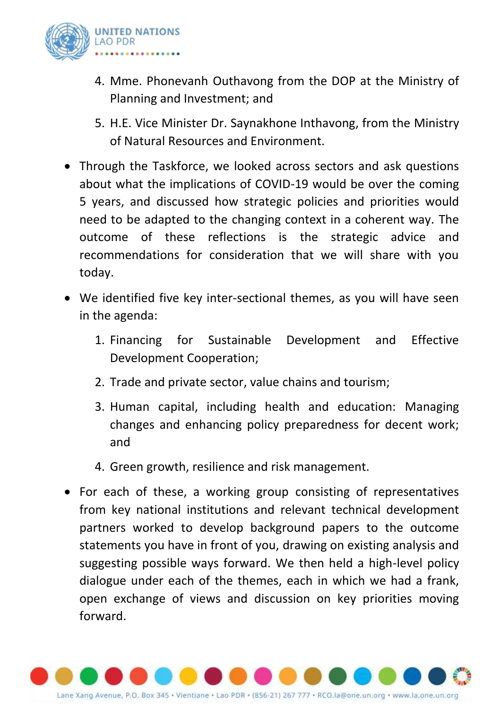

- 4. Mme. Phonevanh Outhavong from the DOP at the Ministry of Planning and Investment; and
- 5. H.E. Vice Minister Dr. Saynakhone Inthavong, from the Ministry of Natural Resources and Environment.
- Through the Taskforce, we looked across sectors and ask questions about what the implications of COVID-19 would be over the coming 5 years, and discussed how strategic policies and priorities would need to be adapted to the changing context in a coherent way. The outcome of these reflections is the strategic advice and recommendations for consideration that we will share with you today.
- We identified five key inter-sectional themes, as you will have seen in the agenda:
	- 1. Financing for Sustainable Development and Effective Development Cooperation;
	- 2. Trade and private sector, value chains and tourism;
	- 3. Human capital, including health and education: Managing changes and enhancing policy preparedness for decent work; and
	- 4. Green growth, resilience and risk management.
- For each of these, a working group consisting of representatives from key national institutions and relevant technical development partners worked to develop background papers to the outcome statements you have in front of you, drawing on existing analysis and suggesting possible ways forward. We then held a high-level policy dialogue under each of the themes, each in which we had a frank, open exchange of views and discussion on key priorities moving forward.

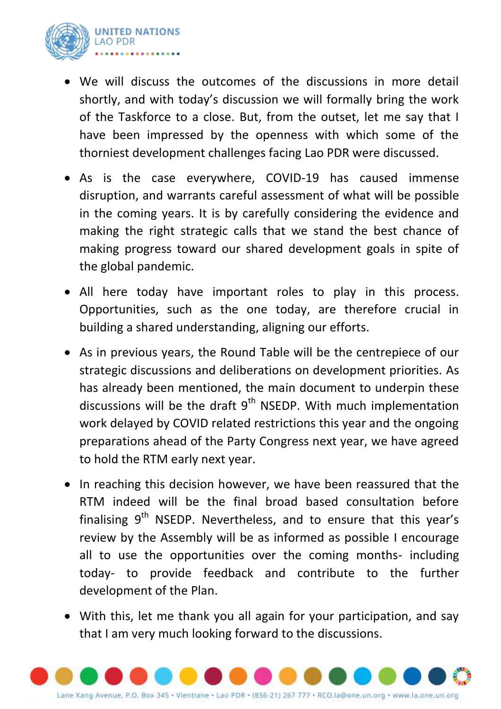

- We will discuss the outcomes of the discussions in more detail shortly, and with today's discussion we will formally bring the work of the Taskforce to a close. But, from the outset, let me say that I have been impressed by the openness with which some of the thorniest development challenges facing Lao PDR were discussed.
- As is the case everywhere, COVID-19 has caused immense disruption, and warrants careful assessment of what will be possible in the coming years. It is by carefully considering the evidence and making the right strategic calls that we stand the best chance of making progress toward our shared development goals in spite of the global pandemic.
- All here today have important roles to play in this process. Opportunities, such as the one today, are therefore crucial in building a shared understanding, aligning our efforts.
- As in previous years, the Round Table will be the centrepiece of our strategic discussions and deliberations on development priorities. As has already been mentioned, the main document to underpin these discussions will be the draft  $9<sup>th</sup>$  NSEDP. With much implementation work delayed by COVID related restrictions this year and the ongoing preparations ahead of the Party Congress next year, we have agreed to hold the RTM early next year.
- In reaching this decision however, we have been reassured that the RTM indeed will be the final broad based consultation before finalising 9<sup>th</sup> NSEDP. Nevertheless, and to ensure that this year's review by the Assembly will be as informed as possible I encourage all to use the opportunities over the coming months- including today- to provide feedback and contribute to the further development of the Plan.
- With this, let me thank you all again for your participation, and say that I am very much looking forward to the discussions.